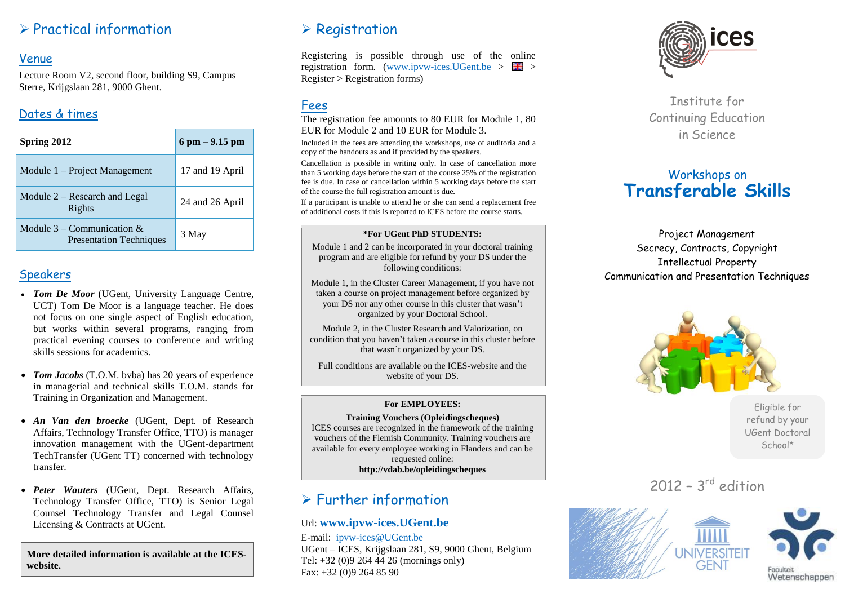# $\triangleright$  Practical information

#### Venue

Lecture Room V2, second floor, building S9, Campus Sterre, Krijgslaan 281, 9000 Ghent.

### Dates & times

| Spring 2012                                                    | $6 \text{ pm} - 9.15 \text{ pm}$ |
|----------------------------------------------------------------|----------------------------------|
| Module 1 – Project Management                                  | 17 and 19 April                  |
| Module $2 -$ Research and Legal<br>Rights                      | 24 and 26 April                  |
| Module $3$ – Communication &<br><b>Presentation Techniques</b> | 3 May                            |

#### **Speakers**

- *Tom De Moor* (UGent, University Language Centre, UCT) Tom De Moor is a language teacher. He does not focus on one single aspect of English education, but works within several programs, ranging from practical evening courses to conference and writing skills sessions for academics.
- *Tom Jacobs* (T.O.M. bvba) has 20 years of experience in managerial and technical skills T.O.M. stands for Training in Organization and Management.
- *An Van den broecke* (UGent, Dept. of Research Affairs, Technology Transfer Office, TTO) is manager innovation management with the UGent-department TechTransfer (UGent TT) concerned with technology transfer.
- *Peter Wauters* (UGent, Dept. Research Affairs, Technology Transfer Office, TTO) is Senior Legal Counsel Technology Transfer and Legal Counsel Licensing & Contracts at UGent.

**More detailed information is available at the ICESwebsite.**

# $\triangleright$  Registration

Registering is possible through use of the online registration form. (www.ipvw-ices.UGent.be  $> 74$ ) Register > Registration forms)

## Fees

The registration fee amounts to 80 EUR for Module 1, 80 EUR for Module 2 and 10 EUR for Module 3.

Included in the fees are attending the workshops, use of auditoria and a copy of the handouts as and if provided by the speakers.

Cancellation is possible in writing only. In case of cancellation more than 5 working days before the start of the course 25% of the registration fee is due. In case of cancellation within 5 working days before the start of the course the full registration amount is due.

If a participant is unable to attend he or she can send a replacement free of additional costs if this is reported to ICES before the course starts.

#### **\*For UGent PhD STUDENTS:**

Module 1 and 2 can be incorporated in your doctoral training program and are eligible for refund by your DS under the following conditions:

Module 1, in the Cluster Career Management, if you have not taken a course on project management before organized by your DS nor any other course in this cluster that wasn't organized by your Doctoral School.

Module 2, in the Cluster Research and Valorization, on condition that you haven't taken a course in this cluster before that wasn't organized by your DS.

Full conditions are available on the ICES-website and the website of your DS.

#### **For EMPLOYEES:**

**Training Vouchers (Opleidingscheques)** ICES courses are recognized in the framework of the training vouchers of the Flemish Community. Training vouchers are available for every employee working in Flanders and can be requested online: **http://vdab.be/opleidingscheques**

# Further information

#### Url: **[www.ipvw-ices.UGent.be](http://www.ipvw-ices.ugent.be/)**

E-mail: ipvw-ices@UGent.be UGent – ICES, Krijgslaan 281, S9, 9000 Ghent, Belgium Tel: +32 (0)9 264 44 26 (mornings only) Fax: +32 (0)9 264 85 90



Institute for Continuing Education in Science

# Workshops on **Transferable Skills**

Project Management Secrecy, Contracts, Copyright Intellectual Property Communication and Presentation Techniques



Eligible for refund by your UGent Doctoral School\*

 $2012 - 3<sup>rd</sup>$  edition